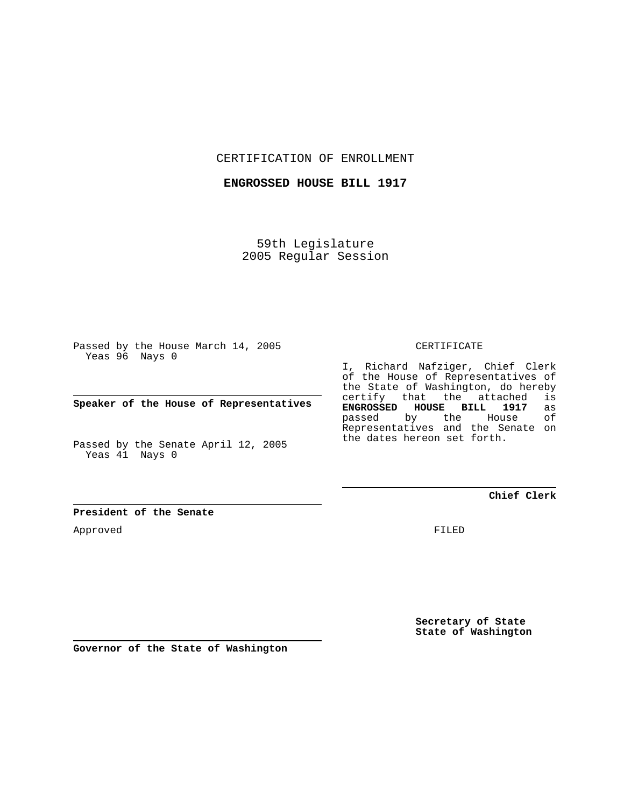CERTIFICATION OF ENROLLMENT

**ENGROSSED HOUSE BILL 1917**

59th Legislature 2005 Regular Session

Passed by the House March 14, 2005 Yeas 96 Nays 0

**Speaker of the House of Representatives**

Passed by the Senate April 12, 2005 Yeas 41 Nays 0

**President of the Senate**

Approved

CERTIFICATE

I, Richard Nafziger, Chief Clerk of the House of Representatives of the State of Washington, do hereby certify that the attached is **ENGROSSED HOUSE BILL 1917** as passed by the House Representatives and the Senate on the dates hereon set forth.

**Chief Clerk**

FILED

**Secretary of State State of Washington**

**Governor of the State of Washington**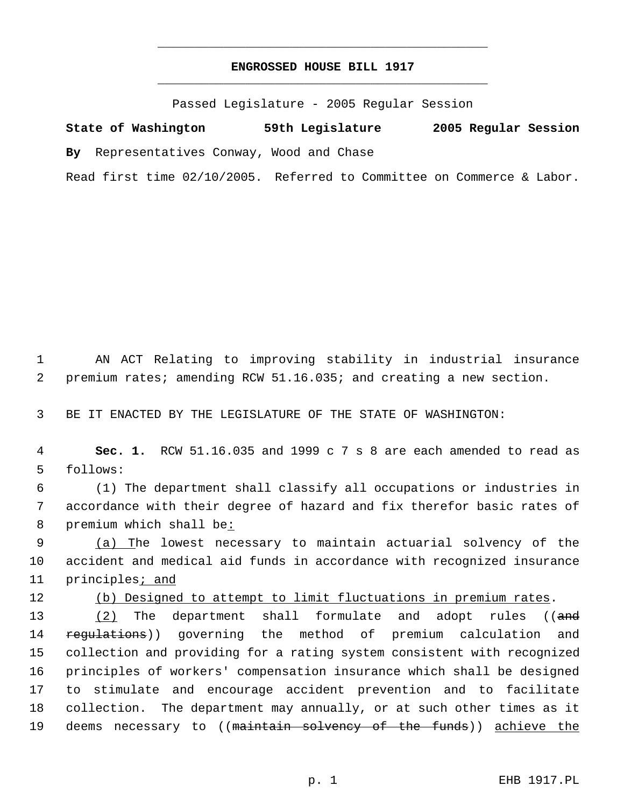## **ENGROSSED HOUSE BILL 1917** \_\_\_\_\_\_\_\_\_\_\_\_\_\_\_\_\_\_\_\_\_\_\_\_\_\_\_\_\_\_\_\_\_\_\_\_\_\_\_\_\_\_\_\_\_

\_\_\_\_\_\_\_\_\_\_\_\_\_\_\_\_\_\_\_\_\_\_\_\_\_\_\_\_\_\_\_\_\_\_\_\_\_\_\_\_\_\_\_\_\_

Passed Legislature - 2005 Regular Session

**State of Washington 59th Legislature 2005 Regular Session By** Representatives Conway, Wood and Chase Read first time 02/10/2005. Referred to Committee on Commerce & Labor.

 1 AN ACT Relating to improving stability in industrial insurance 2 premium rates; amending RCW 51.16.035; and creating a new section.

3 BE IT ENACTED BY THE LEGISLATURE OF THE STATE OF WASHINGTON:

 4 **Sec. 1.** RCW 51.16.035 and 1999 c 7 s 8 are each amended to read as 5 follows:

 6 (1) The department shall classify all occupations or industries in 7 accordance with their degree of hazard and fix therefor basic rates of 8 premium which shall be:

9 (a) The lowest necessary to maintain actuarial solvency of the 10 accident and medical aid funds in accordance with recognized insurance 11 principles<sub>i</sub> and

12 (b) Designed to attempt to limit fluctuations in premium rates.

13 (2) The department shall formulate and adopt rules ((and 14 regulations)) governing the method of premium calculation and 15 collection and providing for a rating system consistent with recognized 16 principles of workers' compensation insurance which shall be designed 17 to stimulate and encourage accident prevention and to facilitate 18 collection. The department may annually, or at such other times as it 19 deems necessary to ((maintain solvency of the funds)) achieve the